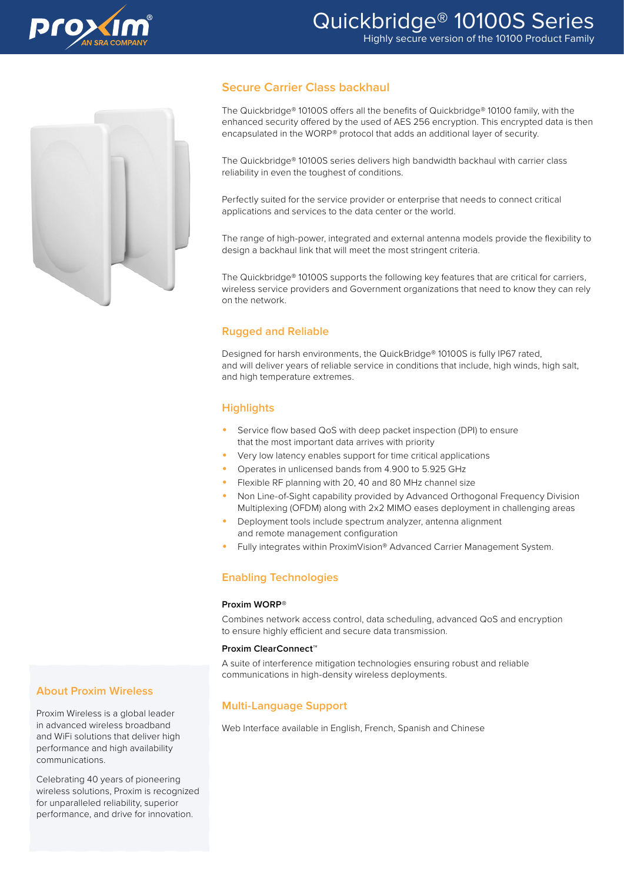



## **Secure Carrier Class backhaul**

The Quickbridge® 10100S offers all the benefits of Quickbridge® 10100 family, with the enhanced security offered by the used of AES 256 encryption. This encrypted data is then encapsulated in the WORP® protocol that adds an additional layer of security.

The Quickbridge® 10100S series delivers high bandwidth backhaul with carrier class reliability in even the toughest of conditions.

Perfectly suited for the service provider or enterprise that needs to connect critical applications and services to the data center or the world.

The range of high-power, integrated and external antenna models provide the flexibility to design a backhaul link that will meet the most stringent criteria.

The Quickbridge® 10100S supports the following key features that are critical for carriers, wireless service providers and Government organizations that need to know they can rely on the network.

## **Rugged and Reliable**

Designed for harsh environments, the QuickBridge® 10100S is fully IP67 rated, and will deliver years of reliable service in conditions that include, high winds, high salt, and high temperature extremes.

## **Highlights**

- Service flow based QoS with deep packet inspection (DPI) to ensure that the most important data arrives with priority
- Very low latency enables support for time critical applications
- Operates in unlicensed bands from 4.900 to 5.925 GHz
- Flexible RF planning with 20, 40 and 80 MHz channel size
- Non Line-of-Sight capability provided by Advanced Orthogonal Frequency Division Multiplexing (OFDM) along with 2x2 MIMO eases deployment in challenging areas
- Deployment tools include spectrum analyzer, antenna alignment and remote management configuration
- Fully integrates within ProximVision® Advanced Carrier Management System.

## **Enabling Technologies**

#### **Proxim WORP®**

Combines network access control, data scheduling, advanced QoS and encryption to ensure highly efficient and secure data transmission.

#### **Proxim ClearConnect™**

A suite of interference mitigation technologies ensuring robust and reliable communications in high-density wireless deployments.

## **Multi-Language Support**

Web Interface available in English, French, Spanish and Chinese

### **About Proxim Wireless**

Proxim Wireless is a global leader in advanced wireless broadband and WiFi solutions that deliver high performance and high availability communications.

Celebrating 40 years of pioneering wireless solutions, Proxim is recognized for unparalleled reliability, superior performance, and drive for innovation.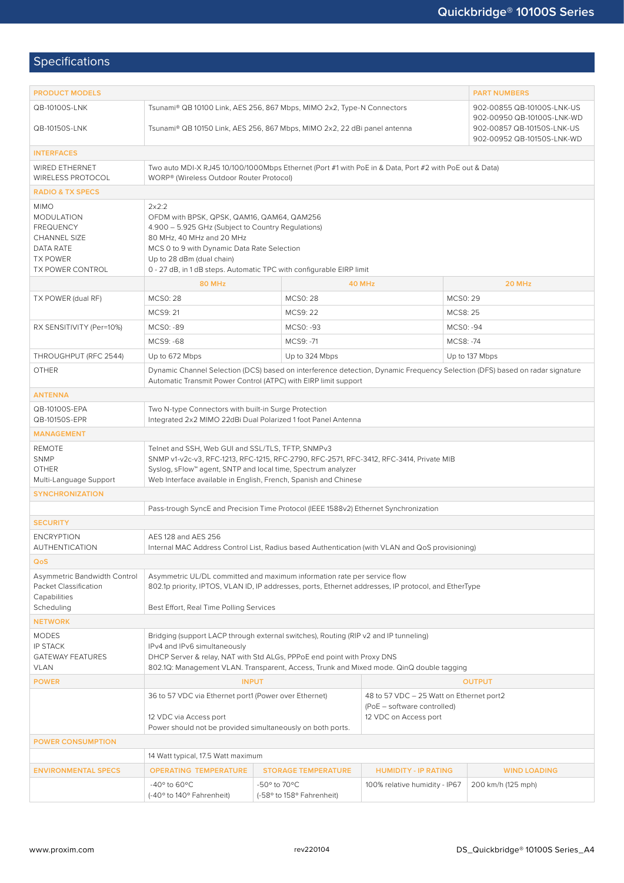# Specifications

| <b>PRODUCT MODELS</b>                                                                                                    | <b>PART NUMBERS</b>                                                                                                                                                                                                                                                                        |                                                          |                                                                                                  |                     |  |  |
|--------------------------------------------------------------------------------------------------------------------------|--------------------------------------------------------------------------------------------------------------------------------------------------------------------------------------------------------------------------------------------------------------------------------------------|----------------------------------------------------------|--------------------------------------------------------------------------------------------------|---------------------|--|--|
| QB-10100S-LNK                                                                                                            | Tsunami® QB 10100 Link, AES 256, 867 Mbps, MIMO 2x2, Type-N Connectors                                                                                                                                                                                                                     | 902-00855 QB-10100S-LNK-US<br>902-00950 QB-10100S-LNK-WD |                                                                                                  |                     |  |  |
| QB-10150S-LNK                                                                                                            | Tsunami® QB 10150 Link, AES 256, 867 Mbps, MIMO 2x2, 22 dBi panel antenna                                                                                                                                                                                                                  | 902-00857 QB-10150S-LNK-US<br>902-00952 QB-10150S-LNK-WD |                                                                                                  |                     |  |  |
| <b>INTERFACES</b>                                                                                                        |                                                                                                                                                                                                                                                                                            |                                                          |                                                                                                  |                     |  |  |
| WIRED ETHERNET<br>WIRELESS PROTOCOL                                                                                      | Two auto MDI-X RJ45 10/100/1000Mbps Ethernet (Port #1 with PoE in & Data, Port #2 with PoE out & Data)<br>WORP® (Wireless Outdoor Router Protocol)                                                                                                                                         |                                                          |                                                                                                  |                     |  |  |
| <b>RADIO &amp; TX SPECS</b>                                                                                              |                                                                                                                                                                                                                                                                                            |                                                          |                                                                                                  |                     |  |  |
| <b>MIMO</b><br><b>MODULATION</b><br><b>FREQUENCY</b><br>CHANNEL SIZE<br>DATA RATE<br><b>TX POWER</b><br>TX POWER CONTROL | 2x2:2<br>OFDM with BPSK, QPSK, QAM16, QAM64, QAM256<br>4.900 - 5.925 GHz (Subject to Country Regulations)<br>80 MHz, 40 MHz and 20 MHz<br>MCS 0 to 9 with Dynamic Data Rate Selection<br>Up to 28 dBm (dual chain)<br>0 - 27 dB, in 1 dB steps. Automatic TPC with configurable EIRP limit |                                                          |                                                                                                  |                     |  |  |
|                                                                                                                          | <b>80 MHz</b>                                                                                                                                                                                                                                                                              |                                                          | 40 MHz                                                                                           | 20 MHz              |  |  |
| TX POWER (dual RF)                                                                                                       | <b>MCSO: 28</b>                                                                                                                                                                                                                                                                            | <b>MCS0: 28</b>                                          |                                                                                                  | MCS0: 29            |  |  |
|                                                                                                                          | MCS9: 21                                                                                                                                                                                                                                                                                   | MCS9: 22                                                 |                                                                                                  | MCS8: 25            |  |  |
| RX SENSITIVITY (Per=10%)                                                                                                 | MCS0: -89                                                                                                                                                                                                                                                                                  | MCS0: -93                                                |                                                                                                  | MCS0: -94           |  |  |
|                                                                                                                          | MCS9: -68                                                                                                                                                                                                                                                                                  | MCS9: -71                                                |                                                                                                  | MCS8: -74           |  |  |
| THROUGHPUT (RFC 2544)                                                                                                    | Up to 672 Mbps                                                                                                                                                                                                                                                                             | Up to 324 Mbps                                           |                                                                                                  | Up to 137 Mbps      |  |  |
| <b>OTHER</b>                                                                                                             | Dynamic Channel Selection (DCS) based on interference detection, Dynamic Frequency Selection (DFS) based on radar signature<br>Automatic Transmit Power Control (ATPC) with EIRP limit support                                                                                             |                                                          |                                                                                                  |                     |  |  |
| <b>ANTENNA</b>                                                                                                           |                                                                                                                                                                                                                                                                                            |                                                          |                                                                                                  |                     |  |  |
| QB-10100S-EPA<br>QB-10150S-EPR                                                                                           | Two N-type Connectors with built-in Surge Protection<br>Integrated 2x2 MIMO 22dBi Dual Polarized 1 foot Panel Antenna                                                                                                                                                                      |                                                          |                                                                                                  |                     |  |  |
| <b>MANAGEMENT</b>                                                                                                        |                                                                                                                                                                                                                                                                                            |                                                          |                                                                                                  |                     |  |  |
| <b>REMOTE</b><br><b>SNMP</b><br><b>OTHER</b><br>Multi-Language Support                                                   | Telnet and SSH, Web GUI and SSL/TLS, TFTP, SNMPv3<br>SNMP v1-v2c-v3, RFC-1213, RFC-1215, RFC-2790, RFC-2571, RFC-3412, RFC-3414, Private MIB<br>Syslog, sFlow™ agent, SNTP and local time, Spectrum analyzer<br>Web Interface available in English, French, Spanish and Chinese            |                                                          |                                                                                                  |                     |  |  |
| <b>SYNCHRONIZATION</b>                                                                                                   |                                                                                                                                                                                                                                                                                            |                                                          |                                                                                                  |                     |  |  |
|                                                                                                                          | Pass-trough SyncE and Precision Time Protocol (IEEE 1588v2) Ethernet Synchronization                                                                                                                                                                                                       |                                                          |                                                                                                  |                     |  |  |
| <b>SECURITY</b>                                                                                                          |                                                                                                                                                                                                                                                                                            |                                                          |                                                                                                  |                     |  |  |
| <b>ENCRYPTION</b><br><b>AUTHENTICATION</b>                                                                               | AES 128 and AES 256<br>Internal MAC Address Control List, Radius based Authentication (with VLAN and QoS provisioning)                                                                                                                                                                     |                                                          |                                                                                                  |                     |  |  |
| QoS                                                                                                                      |                                                                                                                                                                                                                                                                                            |                                                          |                                                                                                  |                     |  |  |
| Asymmetric Bandwidth Control<br>Packet Classification<br>Capabilities<br>Scheduling                                      | Asymmetric UL/DL committed and maximum information rate per service flow<br>802.1p priority, IPTOS, VLAN ID, IP addresses, ports, Ethernet addresses, IP protocol, and EtherType<br>Best Effort, Real Time Polling Services                                                                |                                                          |                                                                                                  |                     |  |  |
| <b>NETWORK</b>                                                                                                           |                                                                                                                                                                                                                                                                                            |                                                          |                                                                                                  |                     |  |  |
| <b>MODES</b><br><b>IP STACK</b><br><b>GATEWAY FEATURES</b><br><b>VLAN</b>                                                | Bridging (support LACP through external switches), Routing (RIP v2 and IP tunneling)<br>IPv4 and IPv6 simultaneously<br>DHCP Server & relay, NAT with Std ALGs, PPPoE end point with Proxy DNS<br>802.1Q: Management VLAN. Transparent, Access, Trunk and Mixed mode. QinQ double tagging  |                                                          |                                                                                                  |                     |  |  |
| <b>POWER</b>                                                                                                             | <b>INPUT</b>                                                                                                                                                                                                                                                                               | <b>OUTPUT</b>                                            |                                                                                                  |                     |  |  |
|                                                                                                                          | 36 to 57 VDC via Ethernet port1 (Power over Ethernet)<br>12 VDC via Access port<br>Power should not be provided simultaneously on both ports.                                                                                                                                              |                                                          | 48 to 57 VDC - 25 Watt on Ethernet port2<br>(PoE - software controlled)<br>12 VDC on Access port |                     |  |  |
| <b>POWER CONSUMPTION</b>                                                                                                 |                                                                                                                                                                                                                                                                                            |                                                          |                                                                                                  |                     |  |  |
|                                                                                                                          | 14 Watt typical, 17.5 Watt maximum                                                                                                                                                                                                                                                         |                                                          |                                                                                                  |                     |  |  |
| <b>ENVIRONMENTAL SPECS</b>                                                                                               | <b>OPERATING TEMPERATURE</b>                                                                                                                                                                                                                                                               | <b>STORAGE TEMPERATURE</b>                               | <b>HUMIDITY - IP RATING</b>                                                                      | <b>WIND LOADING</b> |  |  |
|                                                                                                                          | -40 $\degree$ to 60 $\degree$ C<br>(-40° to 140° Fahrenheit)                                                                                                                                                                                                                               | -50° to 70°C<br>(-58° to 158° Fahrenheit)                | 100% relative humidity - IP67                                                                    | 200 km/h (125 mph)  |  |  |